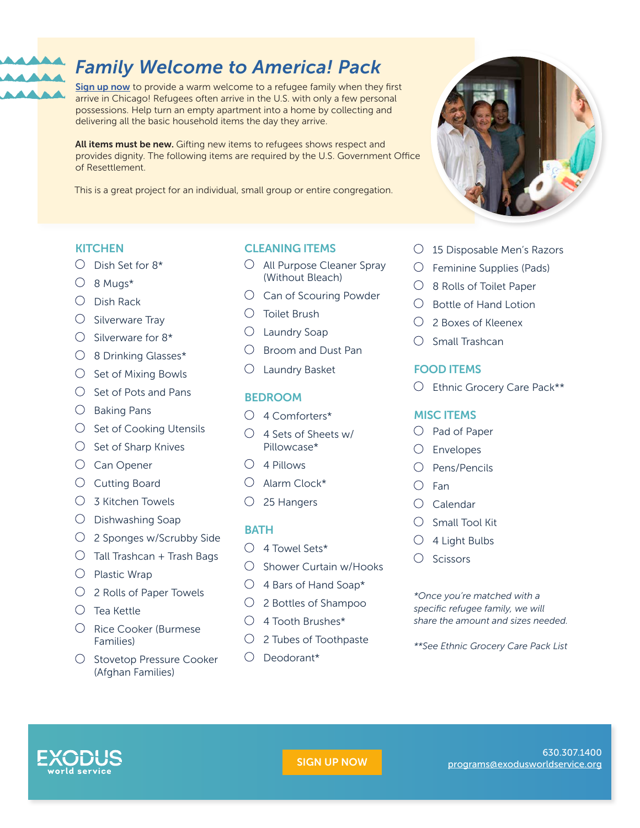

# [SIGN UP NOW](https://exodusworldservice.org/signup-wp)

#### 630.307.1400 [programs@exodusworldservice.org](mailto:programs%40exodusworldservice.org?subject=Welcome%20Pack)

# *Family Welcome to America! Pack*

[Sign up now](https://exodusworldservice.org/signup-wp) to provide a warm welcome to a refugee family when they first arrive in Chicago! Refugees often arrive in the U.S. with only a few personal possessions. Help turn an empty apartment into a home by collecting and delivering all the basic household items the day they arrive.

All items must be new. Gifting new items to refugees shows respect and provides dignity. The following items are required by the U.S. Government Office of Resettlement.

This is a great project for an individual, small group or entire congregation.

# **KITCHEN**

- $\bigcirc$  Dish Set for  $8*$
- $O$  8 Muas\*
- $\bigcirc$  Dish Rack
- $\bigcirc$  Silverware Tray
- $\bigcirc$  Silverware for 8\*
- 8 Drinking Glasses\*
- $\bigcirc$  Set of Mixing Bowls
- $\bigcirc$  Set of Pots and Pans
- $\bigcirc$  Baking Pans
- $\bigcirc$  Set of Cooking Utensils
- $\bigcirc$  Set of Sharp Knives
- O Can Opener
- $\bigcirc$  Cutting Board
- $\bigcirc$  3 Kitchen Towels
- $\bigcirc$  Dishwashing Soap
- 2 Sponges w/Scrubby Side
- $\bigcirc$  Tall Trashcan + Trash Bags
- $\bigcirc$  Plastic Wrap
- 2 Rolls of Paper Towels
- $\bigcirc$  Tea Kettle
- Rice Cooker (Burmese Families)
- $\bigcirc$  Stovetop Pressure Cooker (Afghan Families)

# CLEANING ITEMS

- $\bigcirc$  All Purpose Cleaner Spray (Without Bleach)
- $\bigcirc$  Can of Scouring Powder
- Toilet Brush
- $\bigcirc$  Laundry Soap
- $\bigcirc$  Broom and Dust Pan
- Laundry Basket

# **BEDROOM**

- 4 Comforters\*
- $\bigcirc$  4 Sets of Sheets w/ Pillowcase\*
- $\bigcirc$  4 Pillows
- Alarm Clock\*
- $O$  25 Hangers

# **BATH**

- $\bigcirc$  4 Towel Sets\*
- $\circ$  Shower Curtain w/Hooks
- $\bigcirc$  4 Bars of Hand Soap\*
- 2 Bottles of Shampoo
- $\bigcirc$  4 Tooth Brushes\*
- $\bigcirc$  2 Tubes of Toothpaste
- $\bigcirc$  Deodorant\*

#### 15 Disposable Men's Razors

- $\bigcirc$  Feminine Supplies (Pads)
- $\bigcirc$  8 Rolls of Toilet Paper
- $\bigcirc$  Bottle of Hand Lotion
- 2 Boxes of Kleenex
- $\bigcirc$  Small Trashcan

# FOOD ITEMS

Ethnic Grocery Care Pack\*\*

# MISC ITEMS

- $\bigcirc$  Pad of Paper
- Envelopes
- $O$  Pens/Pencils
- $\bigcirc$  Fan
- $\bigcirc$  Calendar
- $\bigcirc$  Small Tool Kit
- $\bigcirc$  4 Light Bulbs
- $\bigcirc$  Scissors

*\*Once you're matched with a specific refugee family, we will share the amount and sizes needed.*

*\*\*See Ethnic Grocery Care Pack List*